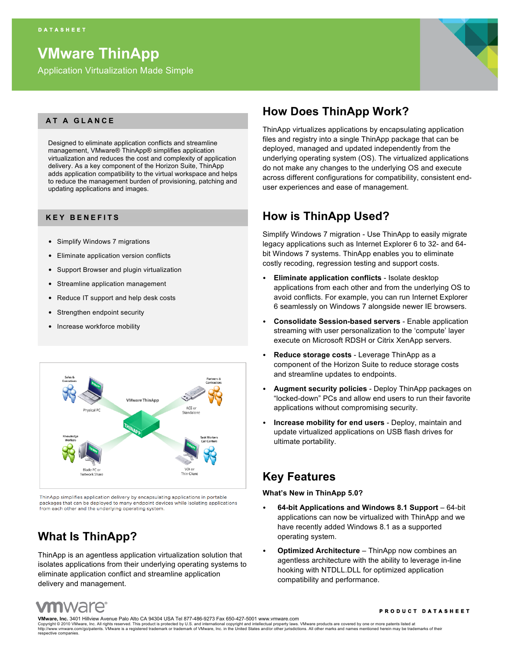# **VMware ThinApp**

Application Virtualization Made Simple



### **AT A GLANCE**

Designed to eliminate application conflicts and streamline management, VMware® ThinApp® simplifies application virtualization and reduces the cost and complexity of application delivery. As a key component of the Horizon Suite, ThinApp adds application compatibility to the virtual workspace and helps to reduce the management burden of provisioning, patching and updating applications and images.

### **KEY BENEFITS**

- Simplify Windows 7 migrations
- Eliminate application version conflicts
- Support Browser and plugin virtualization
- Streamline application management
- Reduce IT support and help desk costs
- Strengthen endpoint security
- Increase workforce mobility



ThinApp simplifies application delivery by encapsulating applications in portable packages that can be deployed to many endpoint devices while isolating applications from each other and the underlying operating system

## **What Is ThinApp?**

ThinApp is an agentless application virtualization solution that isolates applications from their underlying operating systems to eliminate application conflict and streamline application delivery and management.

## **How Does ThinApp Work?**

ThinApp virtualizes applications by encapsulating application files and registry into a single ThinApp package that can be deployed, managed and updated independently from the underlying operating system (OS). The virtualized applications do not make any changes to the underlying OS and execute across different configurations for compatibility, consistent enduser experiences and ease of management.

## **How is ThinApp Used?**

Simplify Windows 7 migration - Use ThinApp to easily migrate legacy applications such as Internet Explorer 6 to 32- and 64 bit Windows 7 systems. ThinApp enables you to eliminate costly recoding, regression testing and support costs.

- **Eliminate application conflicts** Isolate desktop applications from each other and from the underlying OS to avoid conflicts. For example, you can run Internet Explorer 6 seamlessly on Windows 7 alongside newer IE browsers.
- **Consolidate Session-based servers** Enable application streaming with user personalization to the 'compute' layer execute on Microsoft RDSH or Citrix XenApp servers.
- **Reduce storage costs** Leverage ThinApp as a component of the Horizon Suite to reduce storage costs and streamline updates to endpoints.
- **Augment security policies** Deploy ThinApp packages on "locked-down" PCs and allow end users to run their favorite applications without compromising security.
- **Increase mobility for end users** Deploy, maintain and update virtualized applications on USB flash drives for ultimate portability.

### **Key Features**

#### **What's New in ThinApp 5.0?**

- **64-bit Applications and Windows 8.1 Support**  64-bit applications can now be virtualized with ThinApp and we have recently added Windows 8.1 as a supported operating system.
- **Optimized Architecture** ThinApp now combines an agentless architecture with the ability to leverage in-line hooking with NTDLL.DLL for optimized application compatibility and performance.

## **n**wdre

#### **PRODUCT DATASHEET**

**VMware, Inc.** 3401 Hillview Avenue Palo Alto CA 94304 USA Tel 877-486-9273 Fax 650-427-5001 www.vmware.com Copyright © 2010 VMware, Inc. All rights reserved. This product is protected by U.S. and international copyright and intellectual property laws. VMware products are covered by one or more patents listed at<br>http://www.ymwar http://www.vmware.com/go/patents. VMware is a registered trademark or trademark of VMware, Inc. in the United States and/or other jurisdictions. All other marks and names mentioned herein may be trademark or trademark of V respective companies.